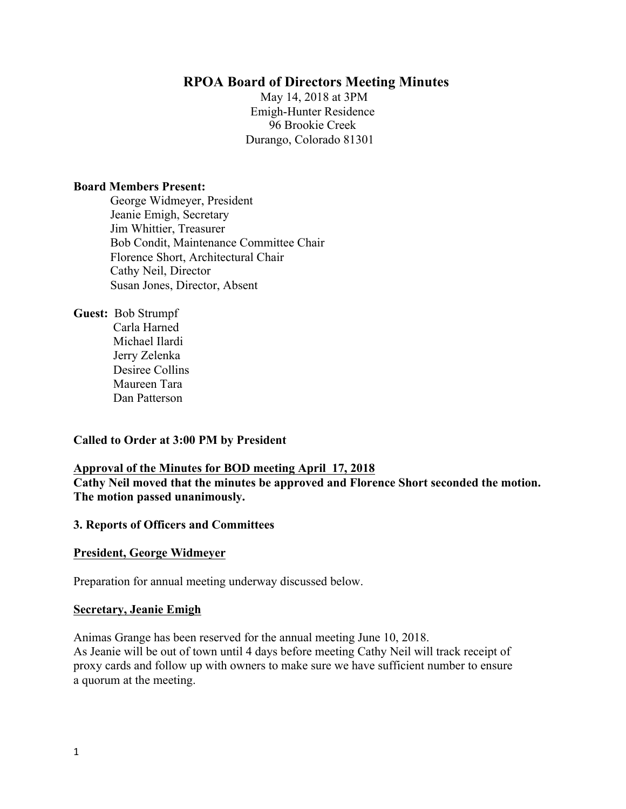## **RPOA Board of Directors Meeting Minutes**

May 14, 2018 at 3PM Emigh-Hunter Residence 96 Brookie Creek Durango, Colorado 81301

#### **Board Members Present:**

George Widmeyer, President Jeanie Emigh, Secretary Jim Whittier, Treasurer Bob Condit, Maintenance Committee Chair Florence Short, Architectural Chair Cathy Neil, Director Susan Jones, Director, Absent

**Guest:** Bob Strumpf

 Carla Harned Michael Ilardi Jerry Zelenka Desiree Collins Maureen Tara Dan Patterson

#### **Called to Order at 3:00 PM by President**

#### **Approval of the Minutes for BOD meeting April 17, 2018**

**Cathy Neil moved that the minutes be approved and Florence Short seconded the motion. The motion passed unanimously.** 

#### **3. Reports of Officers and Committees**

#### **President, George Widmeyer**

Preparation for annual meeting underway discussed below.

#### **Secretary, Jeanie Emigh**

Animas Grange has been reserved for the annual meeting June 10, 2018. As Jeanie will be out of town until 4 days before meeting Cathy Neil will track receipt of proxy cards and follow up with owners to make sure we have sufficient number to ensure a quorum at the meeting.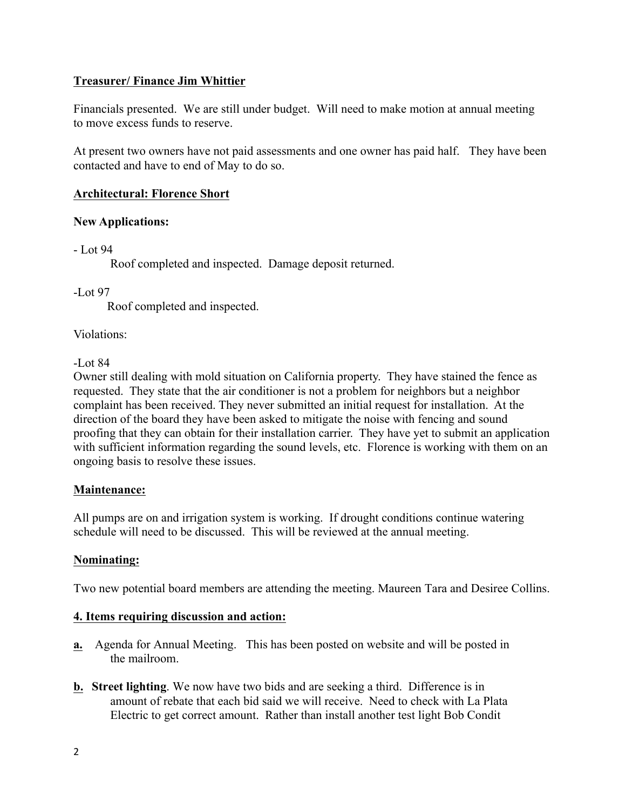## **Treasurer/ Finance Jim Whittier**

Financials presented. We are still under budget. Will need to make motion at annual meeting to move excess funds to reserve.

At present two owners have not paid assessments and one owner has paid half. They have been contacted and have to end of May to do so.

## **Architectural: Florence Short**

## **New Applications:**

- Lot 94

Roof completed and inspected. Damage deposit returned.

-Lot 97

Roof completed and inspected.

Violations:

-Lot 84

Owner still dealing with mold situation on California property. They have stained the fence as requested. They state that the air conditioner is not a problem for neighbors but a neighbor complaint has been received. They never submitted an initial request for installation. At the direction of the board they have been asked to mitigate the noise with fencing and sound proofing that they can obtain for their installation carrier. They have yet to submit an application with sufficient information regarding the sound levels, etc. Florence is working with them on an ongoing basis to resolve these issues.

# **Maintenance:**

All pumps are on and irrigation system is working. If drought conditions continue watering schedule will need to be discussed. This will be reviewed at the annual meeting.

# **Nominating:**

Two new potential board members are attending the meeting. Maureen Tara and Desiree Collins.

## **4. Items requiring discussion and action:**

- **a.** Agenda for Annual Meeting. This has been posted on website and will be posted in the mailroom.
- **b. Street lighting**. We now have two bids and are seeking a third. Difference is in amount of rebate that each bid said we will receive. Need to check with La Plata Electric to get correct amount. Rather than install another test light Bob Condit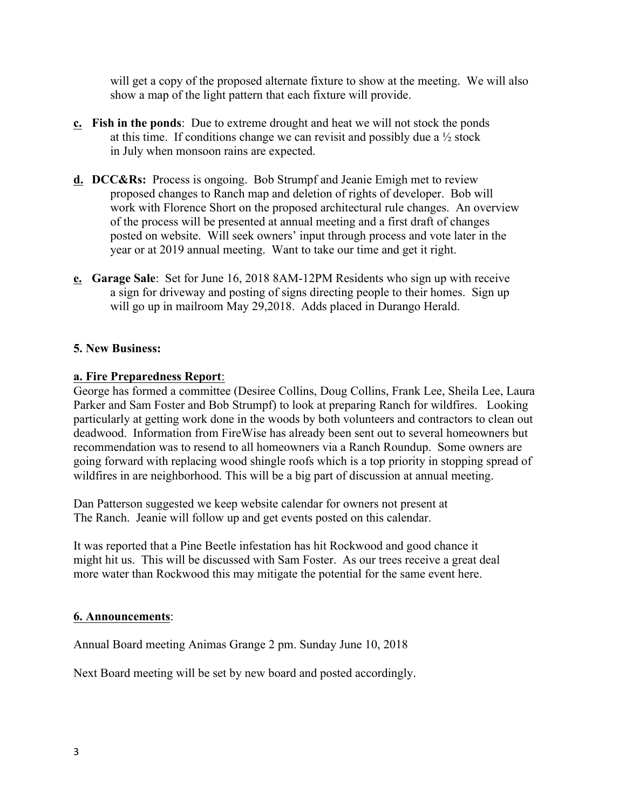will get a copy of the proposed alternate fixture to show at the meeting. We will also show a map of the light pattern that each fixture will provide.

- **c. Fish in the ponds**: Due to extreme drought and heat we will not stock the ponds at this time. If conditions change we can revisit and possibly due a  $\frac{1}{2}$  stock in July when monsoon rains are expected.
- **d. DCC&Rs:** Process is ongoing. Bob Strumpf and Jeanie Emigh met to review proposed changes to Ranch map and deletion of rights of developer. Bob will work with Florence Short on the proposed architectural rule changes. An overview of the process will be presented at annual meeting and a first draft of changes posted on website. Will seek owners' input through process and vote later in the year or at 2019 annual meeting. Want to take our time and get it right.
- **e. Garage Sale**: Set for June 16, 2018 8AM-12PM Residents who sign up with receive a sign for driveway and posting of signs directing people to their homes. Sign up will go up in mailroom May 29,2018. Adds placed in Durango Herald.

### **5. New Business:**

### **a. Fire Preparedness Report**:

George has formed a committee (Desiree Collins, Doug Collins, Frank Lee, Sheila Lee, Laura Parker and Sam Foster and Bob Strumpf) to look at preparing Ranch for wildfires. Looking particularly at getting work done in the woods by both volunteers and contractors to clean out deadwood. Information from FireWise has already been sent out to several homeowners but recommendation was to resend to all homeowners via a Ranch Roundup. Some owners are going forward with replacing wood shingle roofs which is a top priority in stopping spread of wildfires in are neighborhood. This will be a big part of discussion at annual meeting.

Dan Patterson suggested we keep website calendar for owners not present at The Ranch. Jeanie will follow up and get events posted on this calendar.

It was reported that a Pine Beetle infestation has hit Rockwood and good chance it might hit us. This will be discussed with Sam Foster. As our trees receive a great deal more water than Rockwood this may mitigate the potential for the same event here.

#### **6. Announcements**:

Annual Board meeting Animas Grange 2 pm. Sunday June 10, 2018

Next Board meeting will be set by new board and posted accordingly.